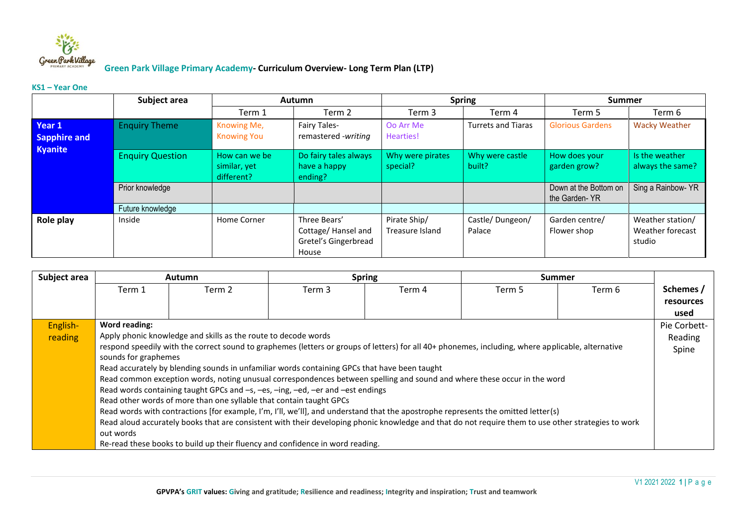

#### **KS1 – Year One**

|                                          | Subject area            |                                             | <b>Autumn</b>                                                       | <b>Spring</b>                   |                           | <b>Summer</b>                          |                                                |
|------------------------------------------|-------------------------|---------------------------------------------|---------------------------------------------------------------------|---------------------------------|---------------------------|----------------------------------------|------------------------------------------------|
|                                          |                         | Term 1                                      | Term 2                                                              | Term 3                          | Term 4                    | Term 5                                 | Term 6                                         |
| Year 1<br>Sapphire and<br><b>Kyanite</b> | <b>Enquiry Theme</b>    | Knowing Me,<br><b>Knowing You</b>           | Fairy Tales-<br>remastered -writing                                 | Oo Arr Me<br>Hearties!          | <b>Turrets and Tiaras</b> | <b>Glorious Gardens</b>                | <b>Wacky Weather</b>                           |
|                                          | <b>Enquiry Question</b> | How can we be<br>similar, yet<br>different? | Do fairy tales always<br>have a happy<br>ending?                    | Why were pirates<br>special?    | Why were castle<br>built? | How does your<br>garden grow?          | Is the weather<br>always the same?             |
|                                          | Prior knowledge         |                                             |                                                                     |                                 |                           | Down at the Bottom on<br>the Garden-YR | Sing a Rainbow- YR                             |
|                                          | Future knowledge        |                                             |                                                                     |                                 |                           |                                        |                                                |
| Role play                                | Inside                  | Home Corner                                 | Three Bears'<br>Cottage/Hansel and<br>Gretel's Gingerbread<br>House | Pirate Ship/<br>Treasure Island | Castle/Dungeon/<br>Palace | Garden centre/<br>Flower shop          | Weather station/<br>Weather forecast<br>studio |

| Subject area | <b>Autumn</b>                                                                                                                                       |                                                                                                                          |        | <b>Spring</b> |        | <b>Summer</b> |           |  |
|--------------|-----------------------------------------------------------------------------------------------------------------------------------------------------|--------------------------------------------------------------------------------------------------------------------------|--------|---------------|--------|---------------|-----------|--|
|              | Term 1                                                                                                                                              | Term 2                                                                                                                   | Term 3 | Term 4        | Term 5 | Term 6        | Schemes / |  |
|              |                                                                                                                                                     |                                                                                                                          |        |               |        |               | resources |  |
|              |                                                                                                                                                     |                                                                                                                          |        |               |        |               | used      |  |
| English-     | Word reading:<br>Pie Corbett-                                                                                                                       |                                                                                                                          |        |               |        |               |           |  |
| reading      | Apply phonic knowledge and skills as the route to decode words                                                                                      |                                                                                                                          |        |               |        |               |           |  |
|              | respond speedily with the correct sound to graphemes (letters or groups of letters) for all 40+ phonemes, including, where applicable, alternative  |                                                                                                                          |        |               |        |               |           |  |
|              | sounds for graphemes                                                                                                                                |                                                                                                                          |        |               |        |               |           |  |
|              |                                                                                                                                                     | Read accurately by blending sounds in unfamiliar words containing GPCs that have been taught                             |        |               |        |               |           |  |
|              |                                                                                                                                                     | Read common exception words, noting unusual correspondences between spelling and sound and where these occur in the word |        |               |        |               |           |  |
|              |                                                                                                                                                     | Read words containing taught GPCs and -s, -es, -ing, -ed, -er and -est endings                                           |        |               |        |               |           |  |
|              |                                                                                                                                                     | Read other words of more than one syllable that contain taught GPCs                                                      |        |               |        |               |           |  |
|              | Read words with contractions [for example, I'm, I'll, we'll], and understand that the apostrophe represents the omitted letter(s)                   |                                                                                                                          |        |               |        |               |           |  |
|              | Read aloud accurately books that are consistent with their developing phonic knowledge and that do not require them to use other strategies to work |                                                                                                                          |        |               |        |               |           |  |
|              | out words                                                                                                                                           |                                                                                                                          |        |               |        |               |           |  |
|              |                                                                                                                                                     | Re-read these books to build up their fluency and confidence in word reading.                                            |        |               |        |               |           |  |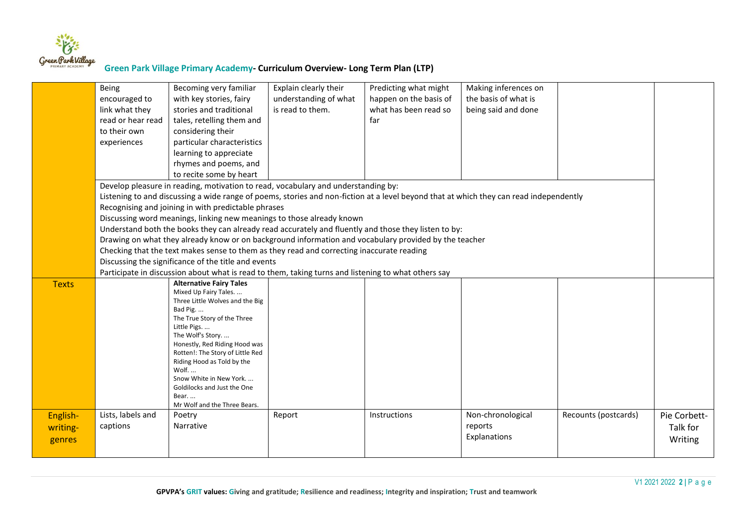

|                                | Being<br>encouraged to<br>link what they<br>read or hear read<br>to their own<br>experiences                                                                                                                                                                                                                                                                                                                                                                                                                                                                                                                                                                                                                                                                | Becoming very familiar<br>with key stories, fairy<br>stories and traditional<br>tales, retelling them and<br>considering their<br>particular characteristics<br>learning to appreciate<br>rhymes and poems, and                                                                                                                                                                                                                                                                               | Explain clearly their<br>understanding of what<br>is read to them. | Predicting what might<br>happen on the basis of<br>what has been read so<br>far | Making inferences on<br>the basis of what is<br>being said and done |                      |                                     |
|--------------------------------|-------------------------------------------------------------------------------------------------------------------------------------------------------------------------------------------------------------------------------------------------------------------------------------------------------------------------------------------------------------------------------------------------------------------------------------------------------------------------------------------------------------------------------------------------------------------------------------------------------------------------------------------------------------------------------------------------------------------------------------------------------------|-----------------------------------------------------------------------------------------------------------------------------------------------------------------------------------------------------------------------------------------------------------------------------------------------------------------------------------------------------------------------------------------------------------------------------------------------------------------------------------------------|--------------------------------------------------------------------|---------------------------------------------------------------------------------|---------------------------------------------------------------------|----------------------|-------------------------------------|
|                                | to recite some by heart<br>Develop pleasure in reading, motivation to read, vocabulary and understanding by:<br>Listening to and discussing a wide range of poems, stories and non-fiction at a level beyond that at which they can read independently<br>Recognising and joining in with predictable phrases<br>Discussing word meanings, linking new meanings to those already known<br>Understand both the books they can already read accurately and fluently and those they listen to by:<br>Drawing on what they already know or on background information and vocabulary provided by the teacher<br>Checking that the text makes sense to them as they read and correcting inaccurate reading<br>Discussing the significance of the title and events |                                                                                                                                                                                                                                                                                                                                                                                                                                                                                               |                                                                    |                                                                                 |                                                                     |                      |                                     |
| <b>Texts</b>                   |                                                                                                                                                                                                                                                                                                                                                                                                                                                                                                                                                                                                                                                                                                                                                             | Participate in discussion about what is read to them, taking turns and listening to what others say<br><b>Alternative Fairy Tales</b><br>Mixed Up Fairy Tales.<br>Three Little Wolves and the Big<br>Bad Pig.<br>The True Story of the Three<br>Little Pigs<br>The Wolf's Story.<br>Honestly, Red Riding Hood was<br>Rotten!: The Story of Little Red<br>Riding Hood as Told by the<br>Wolf<br>Snow White in New York.<br>Goldilocks and Just the One<br>Bear<br>Mr Wolf and the Three Bears. |                                                                    |                                                                                 |                                                                     |                      |                                     |
| English-<br>writing-<br>genres | Lists, labels and<br>captions                                                                                                                                                                                                                                                                                                                                                                                                                                                                                                                                                                                                                                                                                                                               | Poetry<br>Narrative                                                                                                                                                                                                                                                                                                                                                                                                                                                                           | Report                                                             | Instructions                                                                    | Non-chronological<br>reports<br>Explanations                        | Recounts (postcards) | Pie Corbett-<br>Talk for<br>Writing |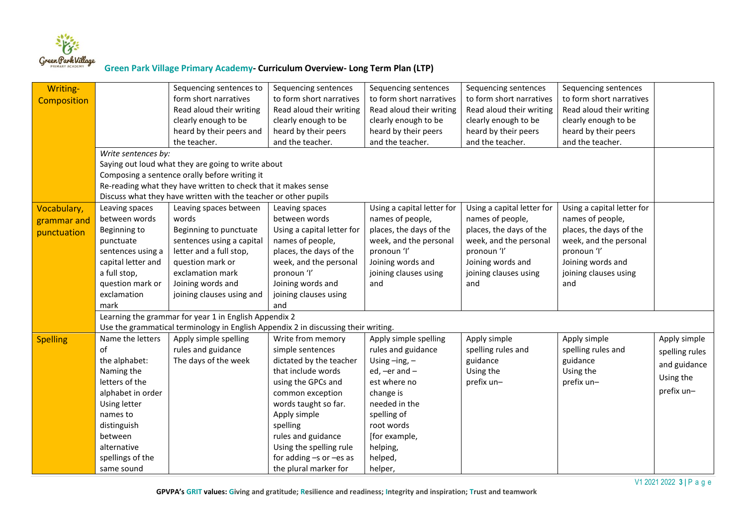

| Writing-           |                     | Sequencing sentences to                                                            | Sequencing sentences        | Sequencing sentences       | Sequencing sentences       | Sequencing sentences       |                |
|--------------------|---------------------|------------------------------------------------------------------------------------|-----------------------------|----------------------------|----------------------------|----------------------------|----------------|
| <b>Composition</b> |                     | form short narratives                                                              | to form short narratives    | to form short narratives   | to form short narratives   | to form short narratives   |                |
|                    |                     | Read aloud their writing                                                           | Read aloud their writing    | Read aloud their writing   | Read aloud their writing   | Read aloud their writing   |                |
|                    |                     | clearly enough to be                                                               | clearly enough to be        | clearly enough to be       | clearly enough to be       | clearly enough to be       |                |
|                    |                     | heard by their peers and                                                           | heard by their peers        | heard by their peers       | heard by their peers       | heard by their peers       |                |
|                    |                     | the teacher.                                                                       | and the teacher.            | and the teacher.           | and the teacher.           | and the teacher.           |                |
|                    | Write sentences by: |                                                                                    |                             |                            |                            |                            |                |
|                    |                     | Saying out loud what they are going to write about                                 |                             |                            |                            |                            |                |
|                    |                     | Composing a sentence orally before writing it                                      |                             |                            |                            |                            |                |
|                    |                     | Re-reading what they have written to check that it makes sense                     |                             |                            |                            |                            |                |
|                    |                     | Discuss what they have written with the teacher or other pupils                    |                             |                            |                            |                            |                |
| Vocabulary,        | Leaving spaces      | Leaving spaces between                                                             | Leaving spaces              | Using a capital letter for | Using a capital letter for | Using a capital letter for |                |
| grammar and        | between words       | words                                                                              | between words               | names of people,           | names of people,           | names of people,           |                |
| punctuation        | Beginning to        | Beginning to punctuate                                                             | Using a capital letter for  | places, the days of the    | places, the days of the    | places, the days of the    |                |
|                    | punctuate           | sentences using a capital                                                          | names of people,            | week, and the personal     | week, and the personal     | week, and the personal     |                |
|                    | sentences using a   | letter and a full stop,                                                            | places, the days of the     | pronoun 'l'                | pronoun 'l'                | pronoun 'l'                |                |
|                    | capital letter and  | question mark or                                                                   | week, and the personal      | Joining words and          | Joining words and          | Joining words and          |                |
|                    | a full stop,        | exclamation mark                                                                   | pronoun 'l'                 | joining clauses using      | joining clauses using      | joining clauses using      |                |
|                    | question mark or    | Joining words and                                                                  | Joining words and           | and                        | and                        | and                        |                |
|                    | exclamation         | joining clauses using and                                                          | joining clauses using       |                            |                            |                            |                |
|                    | mark                |                                                                                    | and                         |                            |                            |                            |                |
|                    |                     | Learning the grammar for year 1 in English Appendix 2                              |                             |                            |                            |                            |                |
|                    |                     | Use the grammatical terminology in English Appendix 2 in discussing their writing. |                             |                            |                            |                            |                |
| <b>Spelling</b>    | Name the letters    | Apply simple spelling                                                              | Write from memory           | Apply simple spelling      | Apply simple               | Apply simple               | Apply simple   |
|                    | of                  | rules and guidance                                                                 | simple sentences            | rules and guidance         | spelling rules and         | spelling rules and         | spelling rules |
|                    | the alphabet:       | The days of the week                                                               | dictated by the teacher     | Using $-$ ing, $-$         | guidance                   | guidance                   | and guidance   |
|                    | Naming the          |                                                                                    | that include words          | ed, $-$ er and $-$         | Using the                  | Using the                  |                |
|                    | letters of the      |                                                                                    | using the GPCs and          | est where no               | prefix un-                 | prefix un-                 | Using the      |
|                    | alphabet in order   |                                                                                    | common exception            | change is                  |                            |                            | prefix un-     |
|                    | Using letter        |                                                                                    | words taught so far.        | needed in the              |                            |                            |                |
|                    | names to            |                                                                                    | Apply simple                | spelling of                |                            |                            |                |
|                    | distinguish         |                                                                                    | spelling                    | root words                 |                            |                            |                |
|                    | between             |                                                                                    | rules and guidance          | [for example,              |                            |                            |                |
|                    | alternative         |                                                                                    | Using the spelling rule     | helping,                   |                            |                            |                |
|                    | spellings of the    |                                                                                    | for adding $-s$ or $-es$ as | helped,                    |                            |                            |                |
|                    | same sound          |                                                                                    | the plural marker for       | helper,                    |                            |                            |                |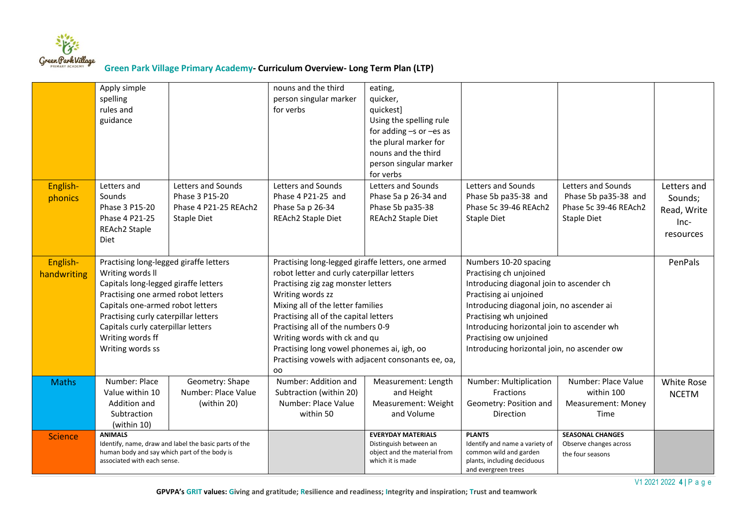

|                         | Apply simple<br>spelling<br>rules and<br>guidance                                                                                                                                                                                                                                                  |                                                                              | nouns and the third<br>person singular marker<br>for verbs                                                                                                                                                                                                                                                                                                                                                             | eating,<br>quicker,<br>quickest]<br>Using the spelling rule<br>for adding $-s$ or $-es$ as<br>the plural marker for<br>nouns and the third<br>person singular marker |                                                                                                                                                                                                                                                                                                                     |                                                                                    |                                                            |
|-------------------------|----------------------------------------------------------------------------------------------------------------------------------------------------------------------------------------------------------------------------------------------------------------------------------------------------|------------------------------------------------------------------------------|------------------------------------------------------------------------------------------------------------------------------------------------------------------------------------------------------------------------------------------------------------------------------------------------------------------------------------------------------------------------------------------------------------------------|----------------------------------------------------------------------------------------------------------------------------------------------------------------------|---------------------------------------------------------------------------------------------------------------------------------------------------------------------------------------------------------------------------------------------------------------------------------------------------------------------|------------------------------------------------------------------------------------|------------------------------------------------------------|
| English-<br>phonics     | Letters and<br>Sounds<br>Phase 3 P15-20<br>Phase 4 P21-25<br>REAch2 Staple<br>Diet                                                                                                                                                                                                                 | Letters and Sounds<br>Phase 3 P15-20<br>Phase 4 P21-25 REAch2<br>Staple Diet | Letters and Sounds<br>Phase 4 P21-25 and<br>Phase 5a p 26-34<br>REAch2 Staple Diet                                                                                                                                                                                                                                                                                                                                     | for verbs<br>Letters and Sounds<br>Phase 5a p 26-34 and<br>Phase 5b pa35-38<br>REAch2 Staple Diet                                                                    | Letters and Sounds<br>Phase 5b pa35-38 and<br>Phase 5c 39-46 REAch2<br><b>Staple Diet</b>                                                                                                                                                                                                                           | Letters and Sounds<br>Phase 5b pa35-38 and<br>Phase 5c 39-46 REAch2<br>Staple Diet | Letters and<br>Sounds;<br>Read, Write<br>Inc-<br>resources |
| English-<br>handwriting | Practising long-legged giraffe letters<br>Writing words II<br>Capitals long-legged giraffe letters<br>Practising one armed robot letters<br>Capitals one-armed robot letters<br>Practising curly caterpillar letters<br>Capitals curly caterpillar letters<br>Writing words ff<br>Writing words ss |                                                                              | Practising long-legged giraffe letters, one armed<br>robot letter and curly caterpillar letters<br>Practising zig zag monster letters<br>Writing words zz<br>Mixing all of the letter families<br>Practising all of the capital letters<br>Practising all of the numbers 0-9<br>Writing words with ck and qu<br>Practising long vowel phonemes ai, igh, oo<br>Practising vowels with adjacent consonants ee, oa,<br>oo |                                                                                                                                                                      | Numbers 10-20 spacing<br>Practising ch unjoined<br>Introducing diagonal join to ascender ch<br>Practising ai unjoined<br>Introducing diagonal join, no ascender ai<br>Practising wh unjoined<br>Introducing horizontal join to ascender wh<br>Practising ow unjoined<br>Introducing horizontal join, no ascender ow |                                                                                    | PenPals                                                    |
| <b>Maths</b>            | Number: Place<br>Value within 10<br>Addition and<br>Subtraction<br>(within 10)                                                                                                                                                                                                                     | Geometry: Shape<br>Number: Place Value<br>(within 20)                        | Number: Addition and<br>Subtraction (within 20)<br>Number: Place Value<br>within 50                                                                                                                                                                                                                                                                                                                                    | Measurement: Length<br>and Height<br>Measurement: Weight<br>and Volume                                                                                               | Number: Multiplication<br><b>Fractions</b><br>Geometry: Position and<br>Direction                                                                                                                                                                                                                                   | Number: Place Value<br>within 100<br><b>Measurement: Money</b><br>Time             | White Rose<br><b>NCETM</b>                                 |
| <b>Science</b>          | <b>ANIMALS</b><br>Identify, name, draw and label the basic parts of the<br>human body and say which part of the body is<br>associated with each sense.                                                                                                                                             |                                                                              |                                                                                                                                                                                                                                                                                                                                                                                                                        | <b>EVERYDAY MATERIALS</b><br>Distinguish between an<br>object and the material from<br>which it is made                                                              | <b>PLANTS</b><br>Identify and name a variety of<br>common wild and garden<br>plants, including deciduous<br>and evergreen trees                                                                                                                                                                                     | <b>SEASONAL CHANGES</b><br>Observe changes across<br>the four seasons              |                                                            |

V1 2021 2022 **4 |** P a g e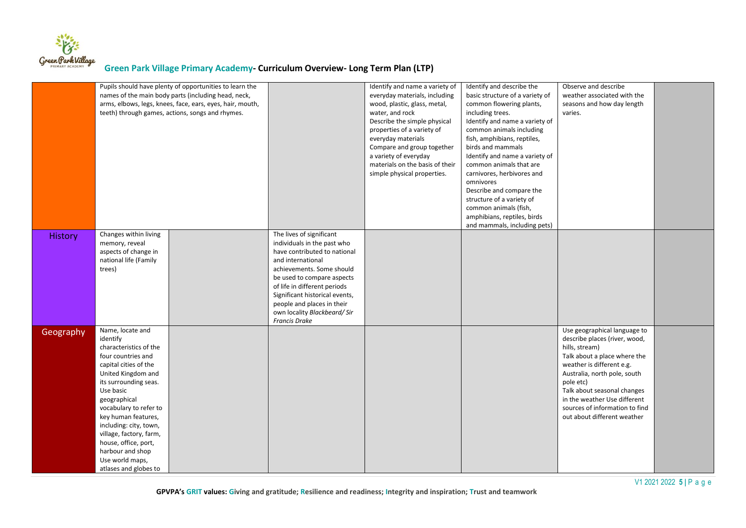

|           | Pupils should have plenty of opportunities to learn the<br>names of the main body parts (including head, neck,<br>arms, elbows, legs, knees, face, ears, eyes, hair, mouth,<br>teeth) through games, actions, songs and rhymes.                                                                                                                                                 |  |                                                                                                                                                                                                                                                                                                                                | Identify and name a variety of<br>everyday materials, including<br>wood, plastic, glass, metal,<br>water, and rock<br>Describe the simple physical<br>properties of a variety of<br>everyday materials<br>Compare and group together<br>a variety of everyday<br>materials on the basis of their<br>simple physical properties. | Identify and describe the<br>basic structure of a variety of<br>common flowering plants,<br>including trees.<br>Identify and name a variety of<br>common animals including<br>fish, amphibians, reptiles,<br>birds and mammals<br>Identify and name a variety of<br>common animals that are<br>carnivores, herbivores and<br>omnivores<br>Describe and compare the<br>structure of a variety of<br>common animals (fish,<br>amphibians, reptiles, birds<br>and mammals, including pets) | Observe and describe<br>weather associated with the<br>seasons and how day length<br>varies.                                                                                                                                                                                                                              |  |
|-----------|---------------------------------------------------------------------------------------------------------------------------------------------------------------------------------------------------------------------------------------------------------------------------------------------------------------------------------------------------------------------------------|--|--------------------------------------------------------------------------------------------------------------------------------------------------------------------------------------------------------------------------------------------------------------------------------------------------------------------------------|---------------------------------------------------------------------------------------------------------------------------------------------------------------------------------------------------------------------------------------------------------------------------------------------------------------------------------|-----------------------------------------------------------------------------------------------------------------------------------------------------------------------------------------------------------------------------------------------------------------------------------------------------------------------------------------------------------------------------------------------------------------------------------------------------------------------------------------|---------------------------------------------------------------------------------------------------------------------------------------------------------------------------------------------------------------------------------------------------------------------------------------------------------------------------|--|
| History   | Changes within living<br>memory, reveal<br>aspects of change in<br>national life (Family<br>trees)                                                                                                                                                                                                                                                                              |  | The lives of significant<br>individuals in the past who<br>have contributed to national<br>and international<br>achievements. Some should<br>be used to compare aspects<br>of life in different periods<br>Significant historical events,<br>people and places in their<br>own locality Blackbeard/Sir<br><b>Francis Drake</b> |                                                                                                                                                                                                                                                                                                                                 |                                                                                                                                                                                                                                                                                                                                                                                                                                                                                         |                                                                                                                                                                                                                                                                                                                           |  |
| Geography | Name, locate and<br>identify<br>characteristics of the<br>four countries and<br>capital cities of the<br>United Kingdom and<br>its surrounding seas.<br>Use basic<br>geographical<br>vocabulary to refer to<br>key human features,<br>including: city, town,<br>village, factory, farm,<br>house, office, port,<br>harbour and shop<br>Use world maps,<br>atlases and globes to |  |                                                                                                                                                                                                                                                                                                                                |                                                                                                                                                                                                                                                                                                                                 |                                                                                                                                                                                                                                                                                                                                                                                                                                                                                         | Use geographical language to<br>describe places (river, wood,<br>hills, stream)<br>Talk about a place where the<br>weather is different e.g.<br>Australia, north pole, south<br>pole etc)<br>Talk about seasonal changes<br>in the weather Use different<br>sources of information to find<br>out about different weather |  |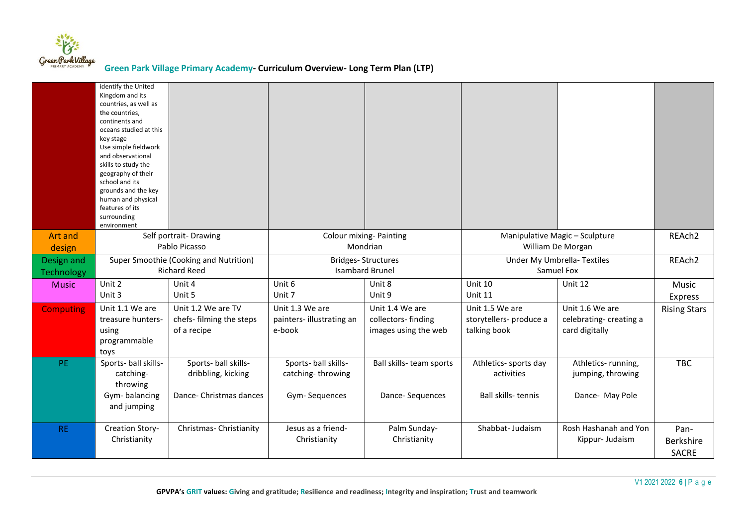

|                  | identify the United<br>Kingdom and its<br>countries, as well as<br>the countries,<br>continents and<br>oceans studied at this<br>key stage<br>Use simple fieldwork<br>and observational<br>skills to study the<br>geography of their<br>school and its<br>grounds and the key<br>human and physical<br>features of its<br>surrounding<br>environment |                          |                                    |                              |                                |                                          |                     |
|------------------|------------------------------------------------------------------------------------------------------------------------------------------------------------------------------------------------------------------------------------------------------------------------------------------------------------------------------------------------------|--------------------------|------------------------------------|------------------------------|--------------------------------|------------------------------------------|---------------------|
| Art and          |                                                                                                                                                                                                                                                                                                                                                      | Self portrait-Drawing    | Colour mixing-Painting             |                              | Manipulative Magic - Sculpture |                                          | REAch <sub>2</sub>  |
| design           | Pablo Picasso                                                                                                                                                                                                                                                                                                                                        |                          | Mondrian                           |                              | William De Morgan              |                                          |                     |
| Design and       | Super Smoothie (Cooking and Nutrition)                                                                                                                                                                                                                                                                                                               |                          | <b>Bridges-Structures</b>          |                              | Under My Umbrella-Textiles     |                                          | REAch <sub>2</sub>  |
| Technology       |                                                                                                                                                                                                                                                                                                                                                      | <b>Richard Reed</b>      | <b>Isambard Brunel</b>             |                              | Samuel Fox                     |                                          |                     |
| <b>Music</b>     | Unit 2                                                                                                                                                                                                                                                                                                                                               | Unit 4                   | Unit 6                             | Unit 8                       | Unit 10                        | Unit 12                                  | Music               |
|                  | Unit 3                                                                                                                                                                                                                                                                                                                                               | Unit 5                   | Unit 7                             | Unit 9                       | Unit 11                        |                                          | <b>Express</b>      |
| <b>Computing</b> | Unit 1.1 We are                                                                                                                                                                                                                                                                                                                                      | Unit 1.2 We are TV       | Unit 1.3 We are                    | Unit 1.4 We are              | Unit 1.5 We are                | Unit 1.6 We are                          | <b>Rising Stars</b> |
|                  | treasure hunters-                                                                                                                                                                                                                                                                                                                                    | chefs- filming the steps | painters-illustrating an           | collectors-finding           | storytellers- produce a        | celebrating-creating a                   |                     |
|                  | using                                                                                                                                                                                                                                                                                                                                                | of a recipe              | e-book                             | images using the web         | talking book                   | card digitally                           |                     |
|                  | programmable                                                                                                                                                                                                                                                                                                                                         |                          |                                    |                              |                                |                                          |                     |
| PE.              | toys<br>Sports- ball skills-                                                                                                                                                                                                                                                                                                                         | Sports- ball skills-     | Sports- ball skills-               | Ball skills- team sports     | Athletics- sports day          | Athletics-running,                       | <b>TBC</b>          |
|                  | catching-                                                                                                                                                                                                                                                                                                                                            | dribbling, kicking       | catching-throwing                  |                              | activities                     | jumping, throwing                        |                     |
|                  | throwing                                                                                                                                                                                                                                                                                                                                             |                          |                                    |                              |                                |                                          |                     |
|                  | Gym-balancing                                                                                                                                                                                                                                                                                                                                        | Dance- Christmas dances  | Gym-Sequences                      | Dance-Sequences              | Ball skills-tennis             | Dance- May Pole                          |                     |
|                  | and jumping                                                                                                                                                                                                                                                                                                                                          |                          |                                    |                              |                                |                                          |                     |
|                  |                                                                                                                                                                                                                                                                                                                                                      |                          |                                    |                              |                                |                                          |                     |
| <b>RE</b>        | Creation Story-<br>Christianity                                                                                                                                                                                                                                                                                                                      | Christmas-Christianity   | Jesus as a friend-<br>Christianity | Palm Sunday-<br>Christianity | Shabbat- Judaism               | Rosh Hashanah and Yon<br>Kippur- Judaism | Pan-                |
|                  |                                                                                                                                                                                                                                                                                                                                                      |                          |                                    |                              |                                |                                          | Berkshire           |
|                  |                                                                                                                                                                                                                                                                                                                                                      |                          |                                    |                              |                                |                                          | <b>SACRE</b>        |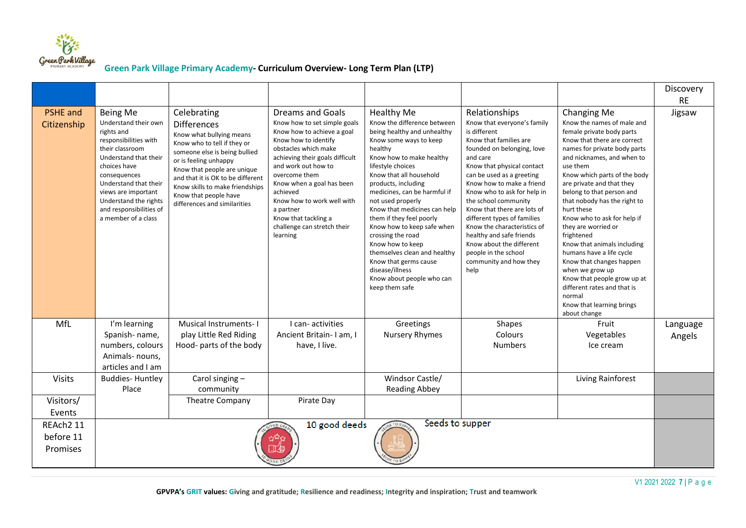

|                                    |                                                                                                                                                                                                                                                                                |                                                                                                                                                                                                                                                                                                                        |                                                                                                                                                                                                                                                                                                                                                                  |                                                                                                                                                                                                                                                                                                                                                                                                                                                                                                                                     |                                                                                                                                                                                                                                                                                                                                                                                                                                                                                                |                                                                                                                                                                                                                                                                                                                                                                                                                                                                                                                                                                                                                            | Discovery<br><b>RE</b> |  |
|------------------------------------|--------------------------------------------------------------------------------------------------------------------------------------------------------------------------------------------------------------------------------------------------------------------------------|------------------------------------------------------------------------------------------------------------------------------------------------------------------------------------------------------------------------------------------------------------------------------------------------------------------------|------------------------------------------------------------------------------------------------------------------------------------------------------------------------------------------------------------------------------------------------------------------------------------------------------------------------------------------------------------------|-------------------------------------------------------------------------------------------------------------------------------------------------------------------------------------------------------------------------------------------------------------------------------------------------------------------------------------------------------------------------------------------------------------------------------------------------------------------------------------------------------------------------------------|------------------------------------------------------------------------------------------------------------------------------------------------------------------------------------------------------------------------------------------------------------------------------------------------------------------------------------------------------------------------------------------------------------------------------------------------------------------------------------------------|----------------------------------------------------------------------------------------------------------------------------------------------------------------------------------------------------------------------------------------------------------------------------------------------------------------------------------------------------------------------------------------------------------------------------------------------------------------------------------------------------------------------------------------------------------------------------------------------------------------------------|------------------------|--|
| <b>PSHE</b> and<br>Citizenship     | Being Me<br>Understand their own<br>rights and<br>responsibilities with<br>their classroom<br>Understand that their<br>choices have<br>consequences<br>Understand that their<br>views are important<br>Understand the rights<br>and responsibilities of<br>a member of a class | Celebrating<br><b>Differences</b><br>Know what bullying means<br>Know who to tell if they or<br>someone else is being bullied<br>or is feeling unhappy<br>Know that people are unique<br>and that it is OK to be different<br>Know skills to make friendships<br>Know that people have<br>differences and similarities | Dreams and Goals<br>Know how to set simple goals<br>Know how to achieve a goal<br>Know how to identify<br>obstacles which make<br>achieving their goals difficult<br>and work out how to<br>overcome them<br>Know when a goal has been<br>achieved<br>Know how to work well with<br>a partner<br>Know that tackling a<br>challenge can stretch their<br>learning | Healthy Me<br>Know the difference between<br>being healthy and unhealthy<br>Know some ways to keep<br>healthy<br>Know how to make healthy<br>lifestyle choices<br>Know that all household<br>products, including<br>medicines, can be harmful if<br>not used properly<br>Know that medicines can help<br>them if they feel poorly<br>Know how to keep safe when<br>crossing the road<br>Know how to keep<br>themselves clean and healthy<br>Know that germs cause<br>disease/illness<br>Know about people who can<br>keep them safe | Relationships<br>Know that everyone's family<br>is different<br>Know that families are<br>founded on belonging, love<br>and care<br>Know that physical contact<br>can be used as a greeting<br>Know how to make a friend<br>Know who to ask for help in<br>the school community<br>Know that there are lots of<br>different types of families<br>Know the characteristics of<br>healthy and safe friends<br>Know about the different<br>people in the school<br>community and how they<br>help | Changing Me<br>Know the names of male and<br>female private body parts<br>Know that there are correct<br>names for private body parts<br>and nicknames, and when to<br>use them<br>Know which parts of the body<br>are private and that they<br>belong to that person and<br>that nobody has the right to<br>hurt these<br>Know who to ask for help if<br>they are worried or<br>frightened<br>Know that animals including<br>humans have a life cycle<br>Know that changes happen<br>when we grow up<br>Know that people grow up at<br>different rates and that is<br>normal<br>Know that learning brings<br>about change | Jigsaw                 |  |
| MfL                                | I'm learning                                                                                                                                                                                                                                                                   | <b>Musical Instruments-I</b>                                                                                                                                                                                                                                                                                           | I can-activities                                                                                                                                                                                                                                                                                                                                                 | Greetings                                                                                                                                                                                                                                                                                                                                                                                                                                                                                                                           | <b>Shapes</b>                                                                                                                                                                                                                                                                                                                                                                                                                                                                                  | Fruit                                                                                                                                                                                                                                                                                                                                                                                                                                                                                                                                                                                                                      | Language               |  |
|                                    | Spanish-name,<br>numbers, colours<br>Animals- nouns,<br>articles and I am                                                                                                                                                                                                      | play Little Red Riding<br>Hood- parts of the body                                                                                                                                                                                                                                                                      | Ancient Britain- I am, I<br>have, I live.                                                                                                                                                                                                                                                                                                                        | <b>Nursery Rhymes</b>                                                                                                                                                                                                                                                                                                                                                                                                                                                                                                               | Colours<br><b>Numbers</b>                                                                                                                                                                                                                                                                                                                                                                                                                                                                      | Vegetables<br>Ice cream                                                                                                                                                                                                                                                                                                                                                                                                                                                                                                                                                                                                    | Angels                 |  |
| <b>Visits</b>                      | <b>Buddies-Huntley</b><br>Place                                                                                                                                                                                                                                                | Carol singing-<br>community                                                                                                                                                                                                                                                                                            |                                                                                                                                                                                                                                                                                                                                                                  | Windsor Castle/<br><b>Reading Abbey</b>                                                                                                                                                                                                                                                                                                                                                                                                                                                                                             |                                                                                                                                                                                                                                                                                                                                                                                                                                                                                                | Living Rainforest                                                                                                                                                                                                                                                                                                                                                                                                                                                                                                                                                                                                          |                        |  |
| Visitors/                          |                                                                                                                                                                                                                                                                                | <b>Theatre Company</b>                                                                                                                                                                                                                                                                                                 | Pirate Day                                                                                                                                                                                                                                                                                                                                                       |                                                                                                                                                                                                                                                                                                                                                                                                                                                                                                                                     |                                                                                                                                                                                                                                                                                                                                                                                                                                                                                                |                                                                                                                                                                                                                                                                                                                                                                                                                                                                                                                                                                                                                            |                        |  |
| Events                             |                                                                                                                                                                                                                                                                                |                                                                                                                                                                                                                                                                                                                        |                                                                                                                                                                                                                                                                                                                                                                  |                                                                                                                                                                                                                                                                                                                                                                                                                                                                                                                                     |                                                                                                                                                                                                                                                                                                                                                                                                                                                                                                |                                                                                                                                                                                                                                                                                                                                                                                                                                                                                                                                                                                                                            |                        |  |
| REAch2 11<br>before 11<br>Promises | Seeds to supper<br>10 good deeds<br>50s<br>OOD DE<br>公众<br>□4                                                                                                                                                                                                                  |                                                                                                                                                                                                                                                                                                                        |                                                                                                                                                                                                                                                                                                                                                                  |                                                                                                                                                                                                                                                                                                                                                                                                                                                                                                                                     |                                                                                                                                                                                                                                                                                                                                                                                                                                                                                                |                                                                                                                                                                                                                                                                                                                                                                                                                                                                                                                                                                                                                            |                        |  |